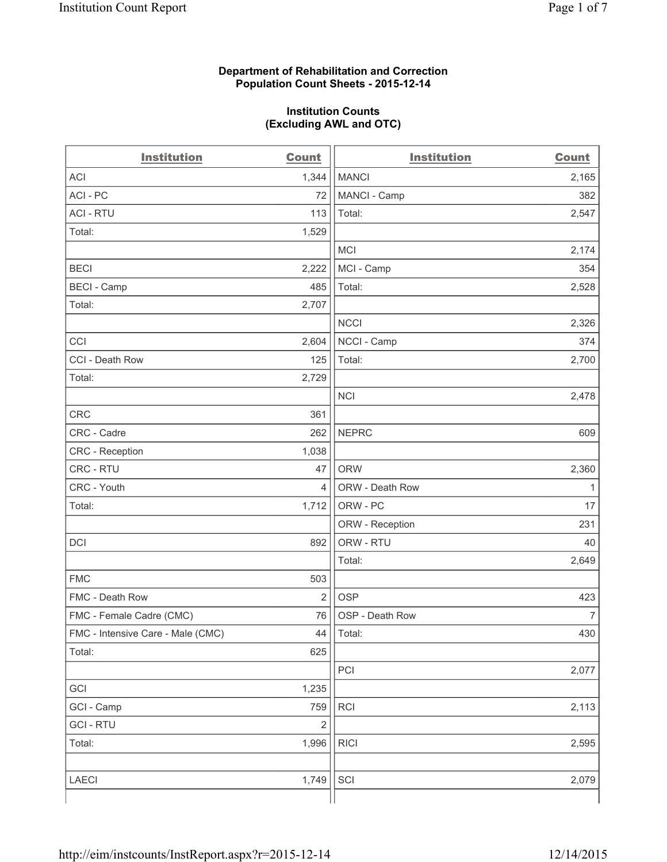### **Department of Rehabilitation and Correction Population Count Sheets - 2015-12-14**

#### **Institution Counts (Excluding AWL and OTC)**

| <b>Institution</b>                | Count          | <b>Institution</b> | <b>Count</b>   |
|-----------------------------------|----------------|--------------------|----------------|
| <b>ACI</b>                        | 1,344          | <b>MANCI</b>       | 2,165          |
| ACI-PC                            | 72             | MANCI - Camp       | 382            |
| <b>ACI - RTU</b>                  | 113            | Total:             | 2,547          |
| Total:                            | 1,529          |                    |                |
|                                   |                | MCI                | 2,174          |
| <b>BECI</b>                       | 2,222          | MCI - Camp         | 354            |
| <b>BECI</b> - Camp                | 485            | Total:             | 2,528          |
| Total:                            | 2,707          |                    |                |
|                                   |                | <b>NCCI</b>        | 2,326          |
| CCI                               | 2,604          | NCCI - Camp        | 374            |
| CCI - Death Row                   | 125            | Total:             | 2,700          |
| Total:                            | 2,729          |                    |                |
|                                   |                | <b>NCI</b>         | 2,478          |
| CRC                               | 361            |                    |                |
| CRC - Cadre                       | 262            | <b>NEPRC</b>       | 609            |
| CRC - Reception                   | 1,038          |                    |                |
| CRC - RTU                         | 47             | <b>ORW</b>         | 2,360          |
| CRC - Youth                       | $\overline{4}$ | ORW - Death Row    | 1              |
| Total:                            | 1,712          | ORW - PC           | 17             |
|                                   |                | ORW - Reception    | 231            |
| DCI                               | 892            | ORW - RTU          | 40             |
|                                   |                | Total:             | 2,649          |
| <b>FMC</b>                        | 503            |                    |                |
| FMC - Death Row                   | $\overline{2}$ | <b>OSP</b>         | 423            |
| FMC - Female Cadre (CMC)          | 76             | OSP - Death Row    | $\overline{7}$ |
| FMC - Intensive Care - Male (CMC) | 44             | Total:             | 430            |
| Total:                            | 625            |                    |                |
|                                   |                | PCI                | 2,077          |
| GCI                               | 1,235          |                    |                |
| GCI - Camp                        | 759            | <b>RCI</b>         | 2,113          |
| <b>GCI-RTU</b>                    | $\mathbf 2$    |                    |                |
| Total:                            | 1,996          | <b>RICI</b>        | 2,595          |
|                                   |                |                    |                |
| LAECI                             | 1,749          | SCI                | 2,079          |
|                                   |                |                    |                |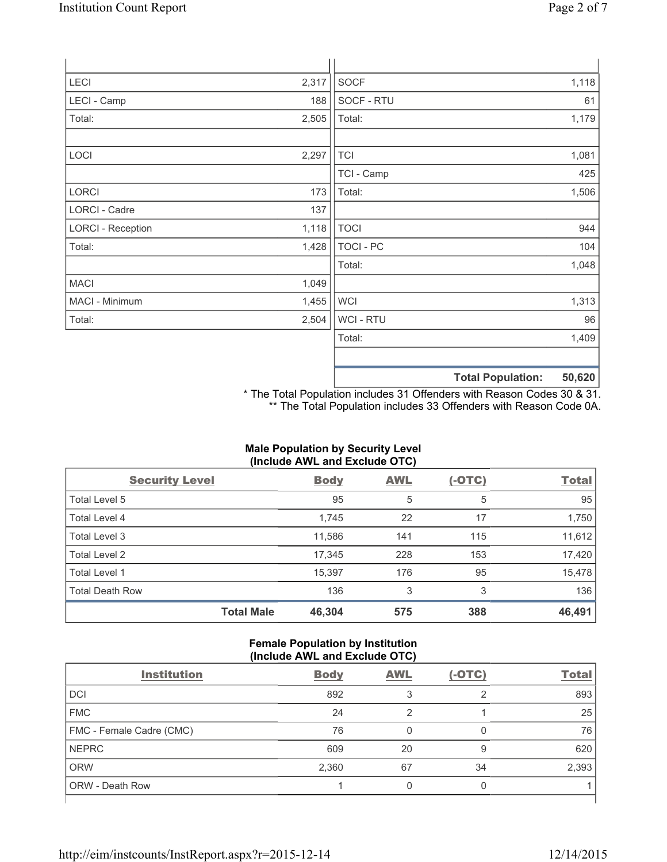| LECI                     | 2,317 | SOCF             |                          | 1,118  |
|--------------------------|-------|------------------|--------------------------|--------|
| LECI - Camp              | 188   | SOCF - RTU       |                          | 61     |
| Total:                   | 2,505 | Total:           |                          | 1,179  |
|                          |       |                  |                          |        |
| LOCI                     | 2,297 | <b>TCI</b>       |                          | 1,081  |
|                          |       | TCI - Camp       |                          | 425    |
| LORCI                    | 173   | Total:           |                          | 1,506  |
| LORCI - Cadre            | 137   |                  |                          |        |
| <b>LORCI - Reception</b> | 1,118 | <b>TOCI</b>      |                          | 944    |
| Total:                   | 1,428 | <b>TOCI - PC</b> |                          | 104    |
|                          |       | Total:           |                          | 1,048  |
| <b>MACI</b>              | 1,049 |                  |                          |        |
| MACI - Minimum           | 1,455 | <b>WCI</b>       |                          | 1,313  |
| Total:                   | 2,504 | <b>WCI-RTU</b>   |                          | 96     |
|                          |       | Total:           |                          | 1,409  |
|                          |       |                  |                          |        |
|                          |       |                  | <b>Total Population:</b> | 50,620 |

\* The Total Population includes 31 Offenders with Reason Codes 30 & 31. \*\* The Total Population includes 33 Offenders with Reason Code 0A.

# **Male Population by Security Level (Include AWL and Exclude OTC)**

| <b>Security Level</b>  |                   | <b>Body</b> | <b>AWL</b> | $(-OTC)$ | <b>Total</b> |
|------------------------|-------------------|-------------|------------|----------|--------------|
| Total Level 5          |                   | 95          | 5          | 5        | 95           |
| <b>Total Level 4</b>   |                   | 1,745       | 22         | 17       | 1,750        |
| Total Level 3          |                   | 11,586      | 141        | 115      | 11,612       |
| Total Level 2          |                   | 17,345      | 228        | 153      | 17,420       |
| <b>Total Level 1</b>   |                   | 15,397      | 176        | 95       | 15,478       |
| <b>Total Death Row</b> |                   | 136         | 3          | 3        | 136          |
|                        | <b>Total Male</b> | 46,304      | 575        | 388      | 46,491       |

### **Female Population by Institution (Include AWL and Exclude OTC)**

| $\frac{1}{2}$            |             |            |          |              |
|--------------------------|-------------|------------|----------|--------------|
| <b>Institution</b>       | <b>Body</b> | <b>AWL</b> | $(-OTC)$ | <b>Total</b> |
| <b>DCI</b>               | 892         |            |          | 893          |
| <b>FMC</b>               | 24          | 2          |          | 25           |
| FMC - Female Cadre (CMC) | 76          |            |          | 76           |
| <b>NEPRC</b>             | 609         | 20         | 9        | 620          |
| <b>ORW</b>               | 2,360       | 67         | 34       | 2,393        |
| <b>ORW - Death Row</b>   |             |            |          |              |
|                          |             |            |          |              |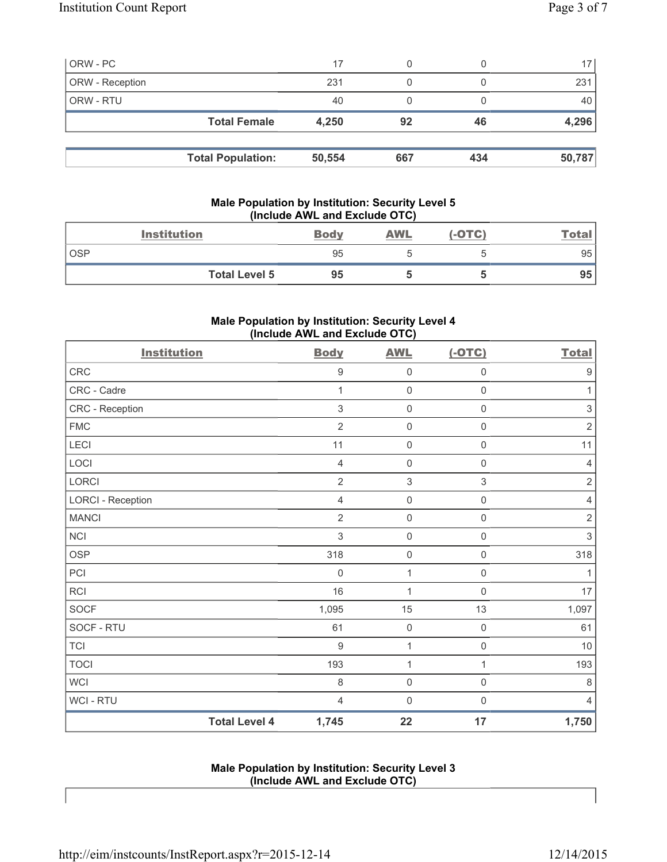| ORW - PC        |                          | 17     | 0   |     | 17     |
|-----------------|--------------------------|--------|-----|-----|--------|
| ORW - Reception |                          | 231    |     |     | 231    |
| ORW - RTU       |                          | 40     |     |     | 40 l   |
|                 | <b>Total Female</b>      | 4,250  | 92  | 46  | 4,296  |
|                 |                          |        |     |     |        |
|                 | <b>Total Population:</b> | 50,554 | 667 | 434 | 50,787 |

# **Male Population by Institution: Security Level 5 (Include AWL and Exclude OTC)**

|            | <b>Institution</b>   | <b>Body</b> | <b>AWL</b> | $(-OTC)$ | <u>Total</u> |
|------------|----------------------|-------------|------------|----------|--------------|
| <b>OSP</b> |                      | 95          |            |          | 95           |
|            | <b>Total Level 5</b> | 95          |            |          | 95           |

# **Male Population by Institution: Security Level 4 (Include AWL and Exclude OTC)**

| <b>Institution</b>       |                      | <b>Body</b>    | <b>AWL</b>          | $(-OTC)$            | <b>Total</b>              |
|--------------------------|----------------------|----------------|---------------------|---------------------|---------------------------|
| CRC                      |                      | $\mathsf g$    | $\mathbf 0$         | $\mathsf{O}\xspace$ | $\boldsymbol{9}$          |
| CRC - Cadre              |                      | 1              | $\mathbf 0$         | $\mathsf{O}\xspace$ | 1                         |
| CRC - Reception          |                      | 3              | $\mathbf 0$         | $\mathbf 0$         | $\ensuremath{\mathsf{3}}$ |
| <b>FMC</b>               |                      | $\overline{2}$ | $\mathbf 0$         | $\mathsf 0$         | $\overline{2}$            |
| LECI                     |                      | 11             | $\mathbf 0$         | $\mathsf{O}\xspace$ | 11                        |
| LOCI                     |                      | $\overline{4}$ | $\mathbf 0$         | $\mathsf{O}\xspace$ | $\overline{4}$            |
| LORCI                    |                      | $\overline{2}$ | $\mathsf 3$         | $\mathfrak{S}$      | $\sqrt{2}$                |
| <b>LORCI - Reception</b> |                      | $\overline{4}$ | $\mathbf 0$         | $\mathsf{O}\xspace$ | $\overline{4}$            |
| <b>MANCI</b>             |                      | $\overline{2}$ | $\mathsf{O}\xspace$ | $\mathsf{O}\xspace$ | $\sqrt{2}$                |
| NCI                      |                      | 3              | $\mathbf 0$         | $\mathsf{O}\xspace$ | $\,$ 3 $\,$               |
| <b>OSP</b>               |                      | 318            | $\mathbf 0$         | $\mathsf{O}\xspace$ | 318                       |
| PCI                      |                      | $\mathbf 0$    | $\mathbf{1}$        | $\mathsf{O}\xspace$ | 1                         |
| <b>RCI</b>               |                      | 16             | 1                   | $\mathsf{O}\xspace$ | $17\,$                    |
| SOCF                     |                      | 1,095          | 15                  | 13                  | 1,097                     |
| SOCF - RTU               |                      | 61             | $\mathbf 0$         | $\mathsf{O}\xspace$ | 61                        |
| <b>TCI</b>               |                      | $9\,$          | 1                   | $\mathsf{O}\xspace$ | 10                        |
| <b>TOCI</b>              |                      | 193            | $\mathbf{1}$        | $\mathbf{1}$        | 193                       |
| <b>WCI</b>               |                      | 8              | $\mathbf 0$         | $\mathsf{O}\xspace$ | $\,8\,$                   |
| WCI - RTU                |                      | $\overline{4}$ | $\mathsf{O}\xspace$ | $\mathsf{O}\xspace$ | $\overline{4}$            |
|                          | <b>Total Level 4</b> | 1,745          | 22                  | 17                  | 1,750                     |

**Male Population by Institution: Security Level 3 (Include AWL and Exclude OTC)**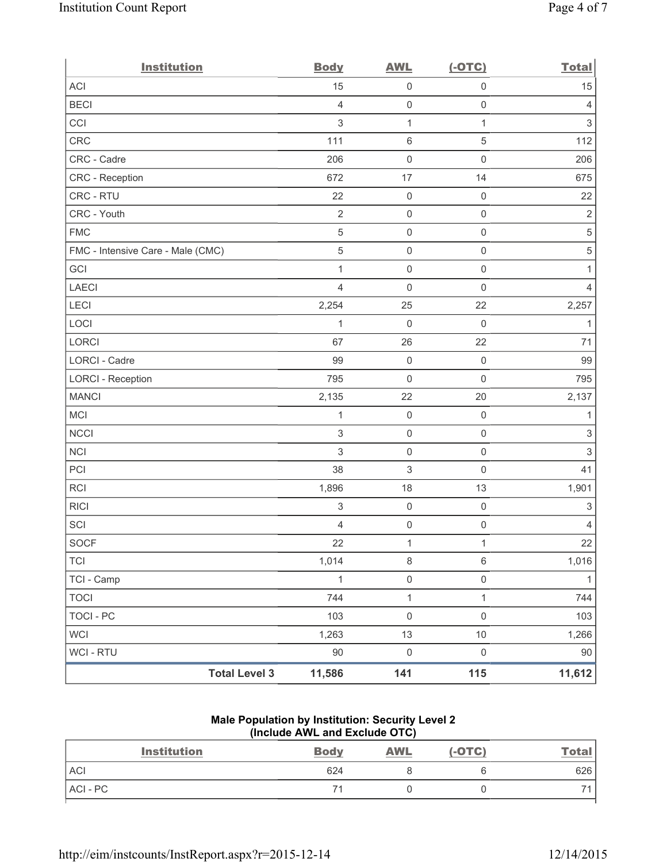| <b>Institution</b>                | <b>Body</b>               | <b>AWL</b>                | $(-OTC)$            | <b>Total</b>              |
|-----------------------------------|---------------------------|---------------------------|---------------------|---------------------------|
| <b>ACI</b>                        | 15                        | $\mathsf{O}\xspace$       | $\mathsf{O}\xspace$ | 15                        |
| <b>BECI</b>                       | $\overline{4}$            | $\mathsf{O}\xspace$       | $\mathsf{O}\xspace$ | 4                         |
| CCI                               | 3                         | $\mathbf{1}$              | $\mathbf{1}$        | $\sqrt{3}$                |
| CRC                               | 111                       | $\,6\,$                   | $\mathbf 5$         | 112                       |
| CRC - Cadre                       | 206                       | $\mathsf{O}\xspace$       | $\mathsf{O}\xspace$ | 206                       |
| CRC - Reception                   | 672                       | 17                        | 14                  | 675                       |
| CRC - RTU                         | 22                        | $\mathsf{O}\xspace$       | $\mathsf{O}\xspace$ | 22                        |
| CRC - Youth                       | $\overline{2}$            | $\mathsf{O}\xspace$       | $\mathsf{O}\xspace$ | $\overline{2}$            |
| <b>FMC</b>                        | 5                         | $\mathsf{O}\xspace$       | $\mathsf{O}\xspace$ | $\,$ 5 $\,$               |
| FMC - Intensive Care - Male (CMC) | 5                         | $\mathbf 0$               | $\mathsf{O}\xspace$ | $\,$ 5 $\,$               |
| GCI                               | $\mathbf{1}$              | $\mathsf{O}\xspace$       | $\mathsf{O}\xspace$ | 1                         |
| <b>LAECI</b>                      | $\overline{4}$            | $\mathsf{O}\xspace$       | $\mathbf 0$         | 4                         |
| LECI                              | 2,254                     | 25                        | 22                  | 2,257                     |
| LOCI                              | 1                         | $\mathsf{O}\xspace$       | $\mathsf{O}\xspace$ | $\mathbf{1}$              |
| LORCI                             | 67                        | 26                        | 22                  | 71                        |
| LORCI - Cadre                     | 99                        | $\mathsf{O}\xspace$       | $\mathsf{O}\xspace$ | 99                        |
| <b>LORCI - Reception</b>          | 795                       | $\mathsf{O}\xspace$       | $\mathbf 0$         | 795                       |
| <b>MANCI</b>                      | 2,135                     | 22                        | 20                  | 2,137                     |
| MCI                               | $\mathbf{1}$              | $\mathbf 0$               | $\mathsf{O}\xspace$ | $\mathbf{1}$              |
| <b>NCCI</b>                       | 3                         | $\mathsf{O}\xspace$       | $\mathsf{O}\xspace$ | $\ensuremath{\mathsf{3}}$ |
| <b>NCI</b>                        | 3                         | $\mathsf{O}\xspace$       | $\mathsf{O}\xspace$ | $\sqrt{3}$                |
| PCI                               | 38                        | $\ensuremath{\mathsf{3}}$ | $\mathbf 0$         | 41                        |
| <b>RCI</b>                        | 1,896                     | 18                        | 13                  | 1,901                     |
| <b>RICI</b>                       | $\ensuremath{\mathsf{3}}$ | $\mathbf 0$               | $\mathsf{O}\xspace$ | $\ensuremath{\mathsf{3}}$ |
| SCI                               | 4                         | $\mathsf{O}\xspace$       | $\mathsf{O}\xspace$ | $\overline{4}$            |
| <b>SOCF</b>                       | 22                        | $\mathbf{1}$              | $\mathbf{1}$        | 22                        |
| <b>TCI</b>                        | 1,014                     | $\,8\,$                   | $\,6\,$             | 1,016                     |
| TCI - Camp                        | $\mathbf{1}$              | $\mathsf{O}\xspace$       | $\mathsf{O}\xspace$ | $\mathbf{1}$              |
| <b>TOCI</b>                       | 744                       | $\mathbf 1$               | $\mathbf{1}$        | 744                       |
| <b>TOCI - PC</b>                  | 103                       | $\mathsf 0$               | $\mathsf{O}\xspace$ | 103                       |
| <b>WCI</b>                        | 1,263                     | 13                        | $10$                | 1,266                     |
| <b>WCI-RTU</b>                    | $90\,$                    | $\mathsf{O}\xspace$       | $\mathsf{O}\xspace$ | 90                        |
| <b>Total Level 3</b>              | 11,586                    | 141                       | 115                 | 11,612                    |

# **Male Population by Institution: Security Level 2 (Include AWL and Exclude OTC)**

| <b>Institution</b> | <b>Body</b> | <b>AWL</b> | $(-OTC)$ | <u>Total</u> |
|--------------------|-------------|------------|----------|--------------|
| <b>ACI</b>         | 624         |            |          | 626          |
| ACI-PC             |             |            |          |              |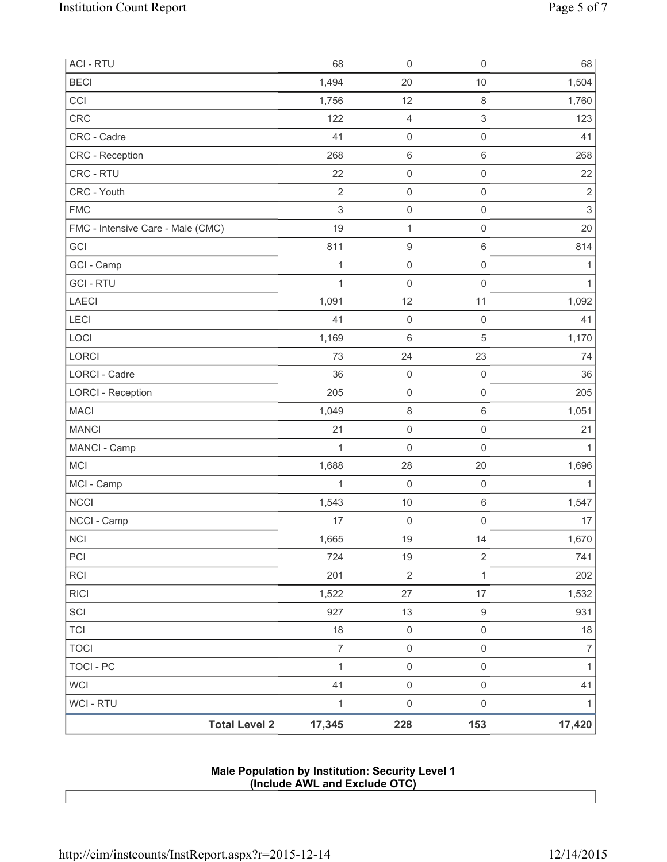| <b>ACI - RTU</b>                  | 68             | $\mathsf{O}\xspace$ | $\mathsf 0$         | 68               |
|-----------------------------------|----------------|---------------------|---------------------|------------------|
| <b>BECI</b>                       | 1,494          | 20                  | 10                  | 1,504            |
| CCI                               | 1,756          | 12                  | $\,8\,$             | 1,760            |
| CRC                               | 122            | $\overline{4}$      | 3                   | 123              |
| CRC - Cadre                       | 41             | $\mathsf{O}\xspace$ | $\mathsf{O}\xspace$ | 41               |
| <b>CRC</b> - Reception            | 268            | $\,6\,$             | 6                   | 268              |
| CRC - RTU                         | 22             | $\mathsf{O}\xspace$ | $\mathsf{O}\xspace$ | 22               |
| CRC - Youth                       | $\overline{2}$ | $\mathsf{O}\xspace$ | $\mathsf 0$         | $\mathbf 2$      |
| <b>FMC</b>                        | $\sqrt{3}$     | $\mathsf{O}\xspace$ | $\mathsf{O}\xspace$ | $\mathsf 3$      |
| FMC - Intensive Care - Male (CMC) | 19             | 1                   | $\mathbf 0$         | 20               |
| GCI                               | 811            | $\boldsymbol{9}$    | 6                   | 814              |
| GCI - Camp                        | 1              | $\mathsf{O}\xspace$ | $\mathsf 0$         | 1                |
| <b>GCI - RTU</b>                  | 1              | $\mathbf 0$         | $\mathbf 0$         |                  |
| <b>LAECI</b>                      | 1,091          | 12                  | 11                  | 1,092            |
| LECI                              | 41             | $\mathsf{O}\xspace$ | $\mathbf 0$         | 41               |
| LOCI                              | 1,169          | 6                   | 5                   | 1,170            |
| LORCI                             | 73             | 24                  | 23                  | 74               |
| LORCI - Cadre                     | 36             | $\mathsf{O}\xspace$ | $\mathbf 0$         | 36               |
| <b>LORCI - Reception</b>          | 205            | $\mathsf{O}\xspace$ | $\mathsf 0$         | 205              |
| <b>MACI</b>                       | 1,049          | $\,8\,$             | 6                   | 1,051            |
| <b>MANCI</b>                      | 21             | $\mathsf{O}\xspace$ | $\mathsf{O}\xspace$ | 21               |
| MANCI - Camp                      | 1              | $\mathbf 0$         | $\mathsf 0$         | 1                |
| <b>MCI</b>                        | 1,688          | 28                  | 20                  | 1,696            |
| MCI - Camp                        | $\mathbf{1}$   | $\mathbf 0$         | $\mathsf{O}\xspace$ | $\mathbf{1}$     |
| <b>NCCI</b>                       | 1,543          | 10                  | $\,6$               | 1,547            |
| NCCI - Camp                       | 17             | $\mathsf{O}\xspace$ | 0                   | 17               |
| NCI                               | 1,665          | 19                  | 14                  | 1,670            |
| PCI                               | 724            | 19                  | $\overline{2}$      | 741              |
| <b>RCI</b>                        | 201            | $\sqrt{2}$          | 1                   | 202              |
| <b>RICI</b>                       | 1,522          | 27                  | 17                  | 1,532            |
| SCI                               | 927            | 13                  | $\boldsymbol{9}$    | 931              |
| <b>TCI</b>                        | 18             | $\mathsf{O}\xspace$ | $\mathsf 0$         | $18$             |
| <b>TOCI</b>                       | $\overline{7}$ | $\mathsf 0$         | $\mathsf{O}\xspace$ | $\boldsymbol{7}$ |
| <b>TOCI - PC</b>                  | $\mathbf 1$    | $\mathsf{O}\xspace$ | $\mathsf 0$         | $\mathbf{1}$     |
| <b>WCI</b>                        | 41             | $\mathsf{O}\xspace$ | $\mathsf 0$         | 41               |
| WCI - RTU                         | 1              | $\mathsf{O}\xspace$ | $\mathsf 0$         | 1                |
| <b>Total Level 2</b>              | 17,345         | 228                 | 153                 | 17,420           |

**Male Population by Institution: Security Level 1 (Include AWL and Exclude OTC)**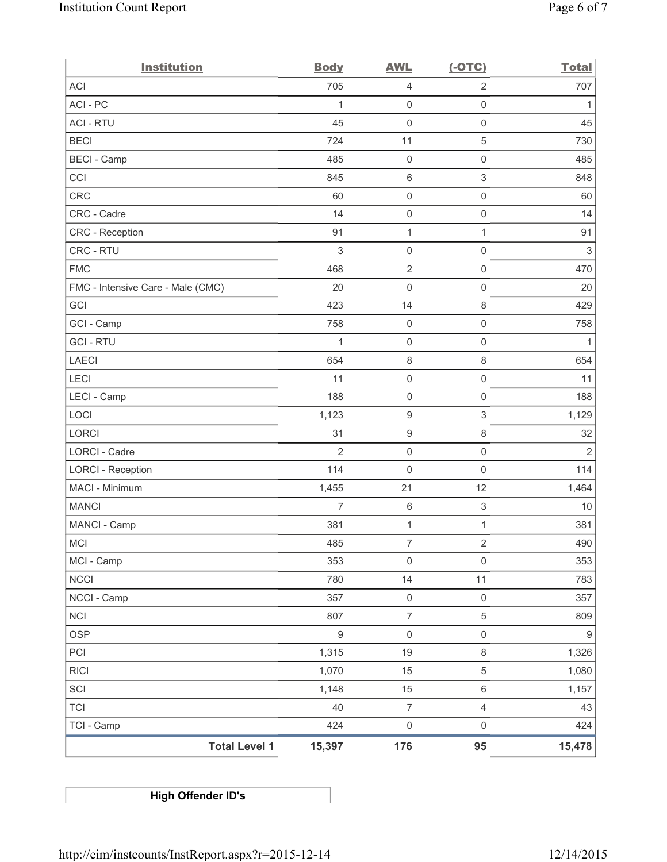| <b>Institution</b>                | <b>Body</b>      | <b>AWL</b>          | $(-OTC)$                  | <b>Total</b>              |
|-----------------------------------|------------------|---------------------|---------------------------|---------------------------|
| <b>ACI</b>                        | 705              | 4                   | $\overline{2}$            | 707                       |
| ACI-PC                            | 1                | $\mathsf{O}\xspace$ | $\mathsf{O}\xspace$       | 1                         |
| <b>ACI - RTU</b>                  | 45               | 0                   | $\mathsf{O}\xspace$       | 45                        |
| <b>BECI</b>                       | 724              | 11                  | $\,$ 5 $\,$               | 730                       |
| <b>BECI - Camp</b>                | 485              | $\mathsf{O}\xspace$ | $\mathsf{O}\xspace$       | 485                       |
| CCI                               | 845              | 6                   | $\,$ 3 $\,$               | 848                       |
| <b>CRC</b>                        | 60               | $\mathsf{O}\xspace$ | $\mathsf{O}\xspace$       | 60                        |
| CRC - Cadre                       | 14               | $\mathsf{O}\xspace$ | $\mathsf{O}\xspace$       | 14                        |
| CRC - Reception                   | 91               | $\mathbf{1}$        | $\mathbf{1}$              | 91                        |
| CRC - RTU                         | $\mathfrak{Z}$   | $\mathsf{O}\xspace$ | $\mathsf 0$               | $\ensuremath{\mathsf{3}}$ |
| <b>FMC</b>                        | 468              | $\sqrt{2}$          | $\mathsf{O}\xspace$       | 470                       |
| FMC - Intensive Care - Male (CMC) | 20               | $\mathsf{O}\xspace$ | $\mathsf{O}\xspace$       | 20                        |
| GCI                               | 423              | 14                  | 8                         | 429                       |
| GCI - Camp                        | 758              | $\mathsf{O}\xspace$ | $\mathsf{O}\xspace$       | 758                       |
| <b>GCI-RTU</b>                    | $\mathbf{1}$     | $\mathsf{O}\xspace$ | $\mathsf{O}\xspace$       | $\mathbf{1}$              |
| <b>LAECI</b>                      | 654              | $\,8\,$             | $\,8\,$                   | 654                       |
| LECI                              | 11               | $\mathsf{O}\xspace$ | $\mathsf{O}\xspace$       | 11                        |
| LECI - Camp                       | 188              | $\mathsf{O}\xspace$ | $\mathsf{O}\xspace$       | 188                       |
| LOCI                              | 1,123            | $\boldsymbol{9}$    | $\,$ 3 $\,$               | 1,129                     |
| LORCI                             | 31               | $\boldsymbol{9}$    | $\,8\,$                   | 32                        |
| LORCI - Cadre                     | $\overline{2}$   | $\mathsf{O}\xspace$ | $\mathsf{O}\xspace$       | $\sqrt{2}$                |
| <b>LORCI - Reception</b>          | 114              | $\mathsf{O}\xspace$ | $\mathsf{O}\xspace$       | 114                       |
| MACI - Minimum                    | 1,455            | 21                  | 12                        | 1,464                     |
| <b>MANCI</b>                      | $\overline{7}$   | 6                   | $\ensuremath{\mathsf{3}}$ | 10                        |
| MANCI - Camp                      | 381              | $\mathbf{1}$        | 1                         | 381                       |
| MCI                               | 485              | $\overline{7}$      | $\overline{2}$            | 490                       |
| MCI - Camp                        | 353              | $\mathsf{O}\xspace$ | $\mathsf 0$               | 353                       |
| <b>NCCI</b>                       | 780              | 14                  | 11                        | 783                       |
| NCCI - Camp                       | 357              | $\mathsf 0$         | $\mathsf{O}\xspace$       | 357                       |
| <b>NCI</b>                        | 807              | $\overline{7}$      | $5\,$                     | 809                       |
| <b>OSP</b>                        | $\boldsymbol{9}$ | $\mathsf{O}\xspace$ | $\mathsf 0$               | $\boldsymbol{9}$          |
| PCI                               | 1,315            | 19                  | $\,8\,$                   | 1,326                     |
| <b>RICI</b>                       | 1,070            | 15                  | 5                         | 1,080                     |
| SCI                               | 1,148            | 15                  | $\,6\,$                   | 1,157                     |
| <b>TCI</b>                        | 40               | $\boldsymbol{7}$    | $\overline{4}$            | 43                        |
| TCI - Camp                        | 424              | $\mathsf{O}\xspace$ | $\mathsf{O}\xspace$       | 424                       |
| <b>Total Level 1</b>              | 15,397           | 176                 | 95                        | 15,478                    |

**High Offender ID's**